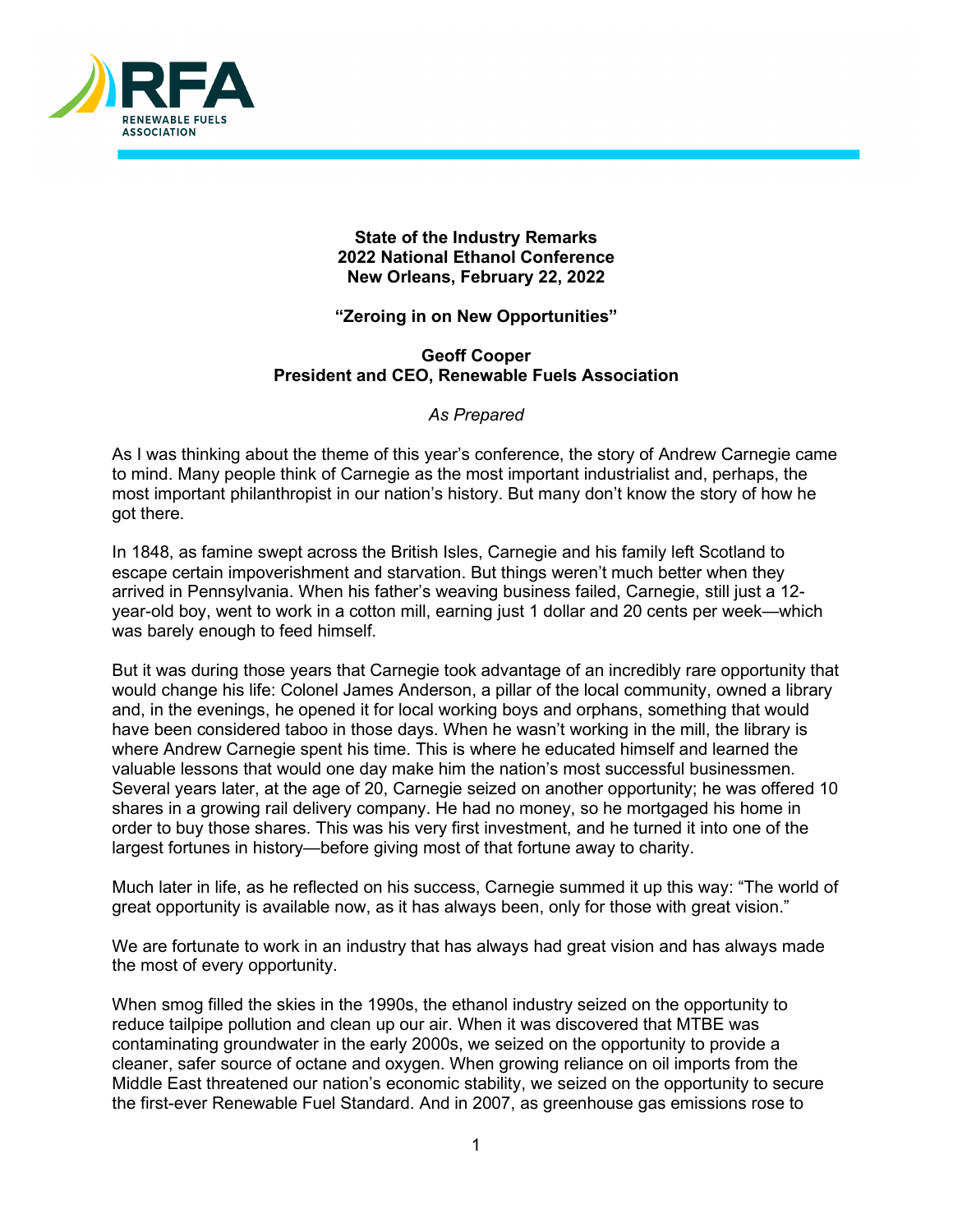

**State of the Industry Remarks 2022 National Ethanol Conference New Orleans, February 22, 2022**

## **"Zeroing in on New Opportunities"**

## **Geoff Cooper President and CEO, Renewable Fuels Association**

*As Prepared*

As I was thinking about the theme of this year's conference, the story of Andrew Carnegie came to mind. Many people think of Carnegie as the most important industrialist and, perhaps, the most important philanthropist in our nation's history. But many don't know the story of how he got there.

In 1848, as famine swept across the British Isles, Carnegie and his family left Scotland to escape certain impoverishment and starvation. But things weren't much better when they arrived in Pennsylvania. When his father's weaving business failed, Carnegie, still just a 12 year-old boy, went to work in a cotton mill, earning just 1 dollar and 20 cents per week—which was barely enough to feed himself.

But it was during those years that Carnegie took advantage of an incredibly rare opportunity that would change his life: Colonel James Anderson, a pillar of the local community, owned a library and, in the evenings, he opened it for local working boys and orphans, something that would have been considered taboo in those days. When he wasn't working in the mill, the library is where Andrew Carnegie spent his time. This is where he educated himself and learned the valuable lessons that would one day make him the nation's most successful businessmen. Several years later, at the age of 20, Carnegie seized on another opportunity; he was offered 10 shares in a growing rail delivery company. He had no money, so he mortgaged his home in order to buy those shares. This was his very first investment, and he turned it into one of the largest fortunes in history—before giving most of that fortune away to charity.

Much later in life, as he reflected on his success, Carnegie summed it up this way: "The world of great opportunity is available now, as it has always been, only for those with great vision."

We are fortunate to work in an industry that has always had great vision and has always made the most of every opportunity.

When smog filled the skies in the 1990s, the ethanol industry seized on the opportunity to reduce tailpipe pollution and clean up our air. When it was discovered that MTBE was contaminating groundwater in the early 2000s, we seized on the opportunity to provide a cleaner, safer source of octane and oxygen. When growing reliance on oil imports from the Middle East threatened our nation's economic stability, we seized on the opportunity to secure the first-ever Renewable Fuel Standard. And in 2007, as greenhouse gas emissions rose to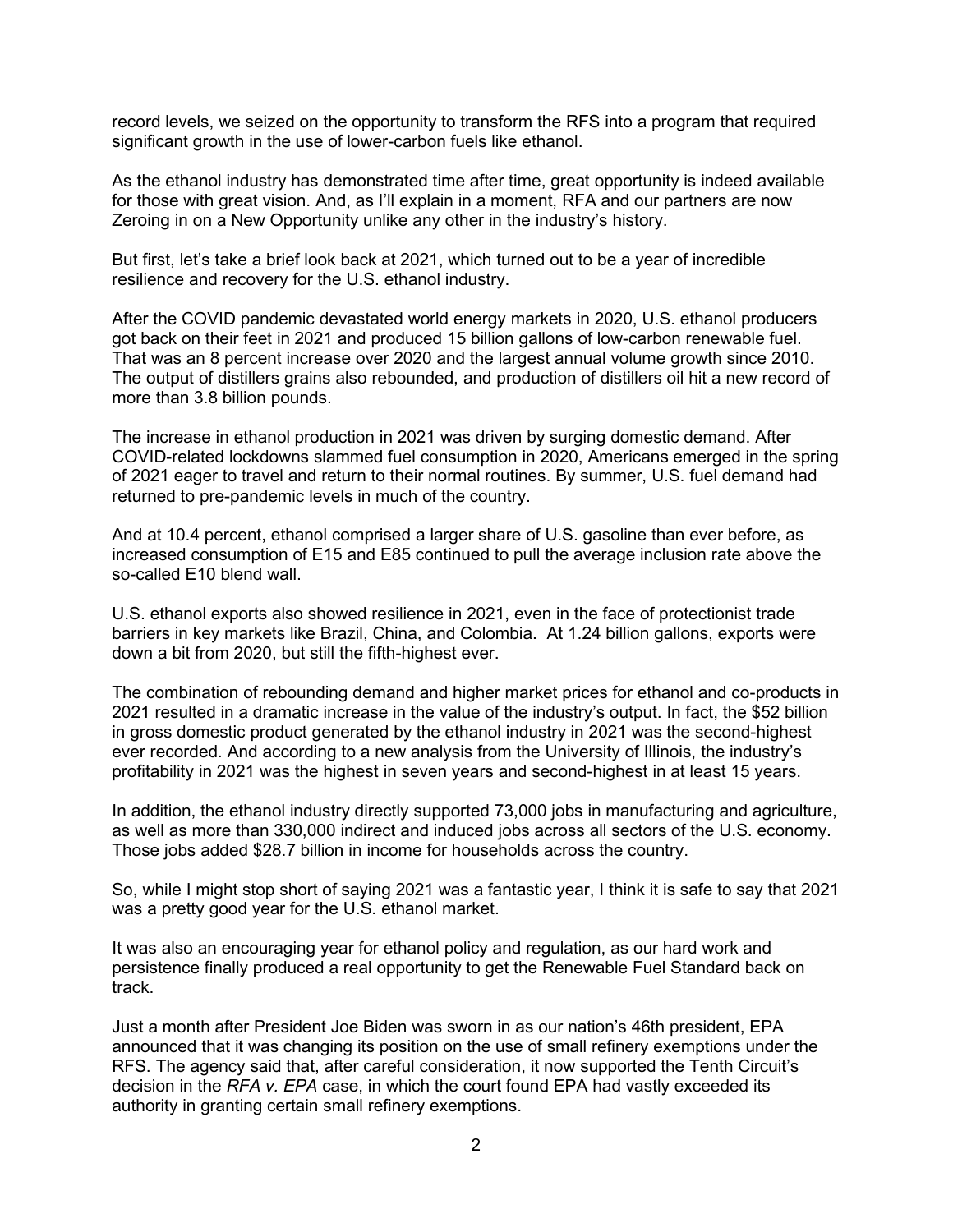record levels, we seized on the opportunity to transform the RFS into a program that required significant growth in the use of lower-carbon fuels like ethanol.

As the ethanol industry has demonstrated time after time, great opportunity is indeed available for those with great vision. And, as I'll explain in a moment, RFA and our partners are now Zeroing in on a New Opportunity unlike any other in the industry's history.

But first, let's take a brief look back at 2021, which turned out to be a year of incredible resilience and recovery for the U.S. ethanol industry.

After the COVID pandemic devastated world energy markets in 2020, U.S. ethanol producers got back on their feet in 2021 and produced 15 billion gallons of low-carbon renewable fuel. That was an 8 percent increase over 2020 and the largest annual volume growth since 2010. The output of distillers grains also rebounded, and production of distillers oil hit a new record of more than 3.8 billion pounds.

The increase in ethanol production in 2021 was driven by surging domestic demand. After COVID-related lockdowns slammed fuel consumption in 2020, Americans emerged in the spring of 2021 eager to travel and return to their normal routines. By summer, U.S. fuel demand had returned to pre-pandemic levels in much of the country.

And at 10.4 percent, ethanol comprised a larger share of U.S. gasoline than ever before, as increased consumption of E15 and E85 continued to pull the average inclusion rate above the so-called E10 blend wall.

U.S. ethanol exports also showed resilience in 2021, even in the face of protectionist trade barriers in key markets like Brazil, China, and Colombia. At 1.24 billion gallons, exports were down a bit from 2020, but still the fifth-highest ever.

The combination of rebounding demand and higher market prices for ethanol and co-products in 2021 resulted in a dramatic increase in the value of the industry's output. In fact, the \$52 billion in gross domestic product generated by the ethanol industry in 2021 was the second-highest ever recorded. And according to a new analysis from the University of Illinois, the industry's profitability in 2021 was the highest in seven years and second-highest in at least 15 years.

In addition, the ethanol industry directly supported 73,000 jobs in manufacturing and agriculture, as well as more than 330,000 indirect and induced jobs across all sectors of the U.S. economy. Those jobs added \$28.7 billion in income for households across the country.

So, while I might stop short of saying 2021 was a fantastic year, I think it is safe to say that 2021 was a pretty good year for the U.S. ethanol market.

It was also an encouraging year for ethanol policy and regulation, as our hard work and persistence finally produced a real opportunity to get the Renewable Fuel Standard back on track.

Just a month after President Joe Biden was sworn in as our nation's 46th president, EPA announced that it was changing its position on the use of small refinery exemptions under the RFS. The agency said that, after careful consideration, it now supported the Tenth Circuit's decision in the *RFA v. EPA* case, in which the court found EPA had vastly exceeded its authority in granting certain small refinery exemptions.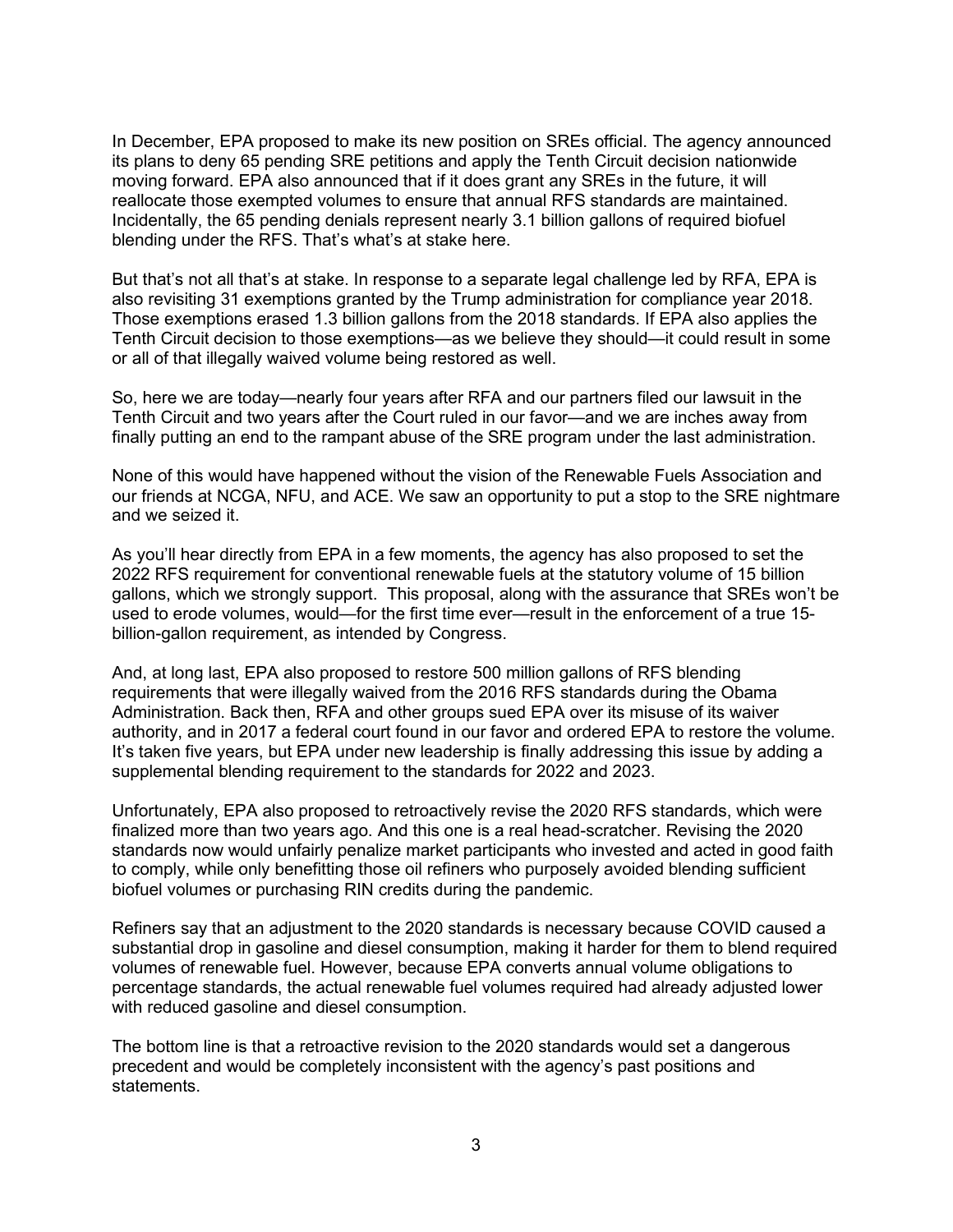In December, EPA proposed to make its new position on SREs official. The agency announced its plans to deny 65 pending SRE petitions and apply the Tenth Circuit decision nationwide moving forward. EPA also announced that if it does grant any SREs in the future, it will reallocate those exempted volumes to ensure that annual RFS standards are maintained. Incidentally, the 65 pending denials represent nearly 3.1 billion gallons of required biofuel blending under the RFS. That's what's at stake here.

But that's not all that's at stake. In response to a separate legal challenge led by RFA, EPA is also revisiting 31 exemptions granted by the Trump administration for compliance year 2018. Those exemptions erased 1.3 billion gallons from the 2018 standards. If EPA also applies the Tenth Circuit decision to those exemptions—as we believe they should—it could result in some or all of that illegally waived volume being restored as well.

So, here we are today—nearly four years after RFA and our partners filed our lawsuit in the Tenth Circuit and two years after the Court ruled in our favor—and we are inches away from finally putting an end to the rampant abuse of the SRE program under the last administration.

None of this would have happened without the vision of the Renewable Fuels Association and our friends at NCGA, NFU, and ACE. We saw an opportunity to put a stop to the SRE nightmare and we seized it.

As you'll hear directly from EPA in a few moments, the agency has also proposed to set the 2022 RFS requirement for conventional renewable fuels at the statutory volume of 15 billion gallons, which we strongly support. This proposal, along with the assurance that SREs won't be used to erode volumes, would—for the first time ever—result in the enforcement of a true 15 billion-gallon requirement, as intended by Congress.

And, at long last, EPA also proposed to restore 500 million gallons of RFS blending requirements that were illegally waived from the 2016 RFS standards during the Obama Administration. Back then, RFA and other groups sued EPA over its misuse of its waiver authority, and in 2017 a federal court found in our favor and ordered EPA to restore the volume. It's taken five years, but EPA under new leadership is finally addressing this issue by adding a supplemental blending requirement to the standards for 2022 and 2023.

Unfortunately, EPA also proposed to retroactively revise the 2020 RFS standards, which were finalized more than two years ago. And this one is a real head-scratcher. Revising the 2020 standards now would unfairly penalize market participants who invested and acted in good faith to comply, while only benefitting those oil refiners who purposely avoided blending sufficient biofuel volumes or purchasing RIN credits during the pandemic.

Refiners say that an adjustment to the 2020 standards is necessary because COVID caused a substantial drop in gasoline and diesel consumption, making it harder for them to blend required volumes of renewable fuel. However, because EPA converts annual volume obligations to percentage standards, the actual renewable fuel volumes required had already adjusted lower with reduced gasoline and diesel consumption.

The bottom line is that a retroactive revision to the 2020 standards would set a dangerous precedent and would be completely inconsistent with the agency's past positions and statements.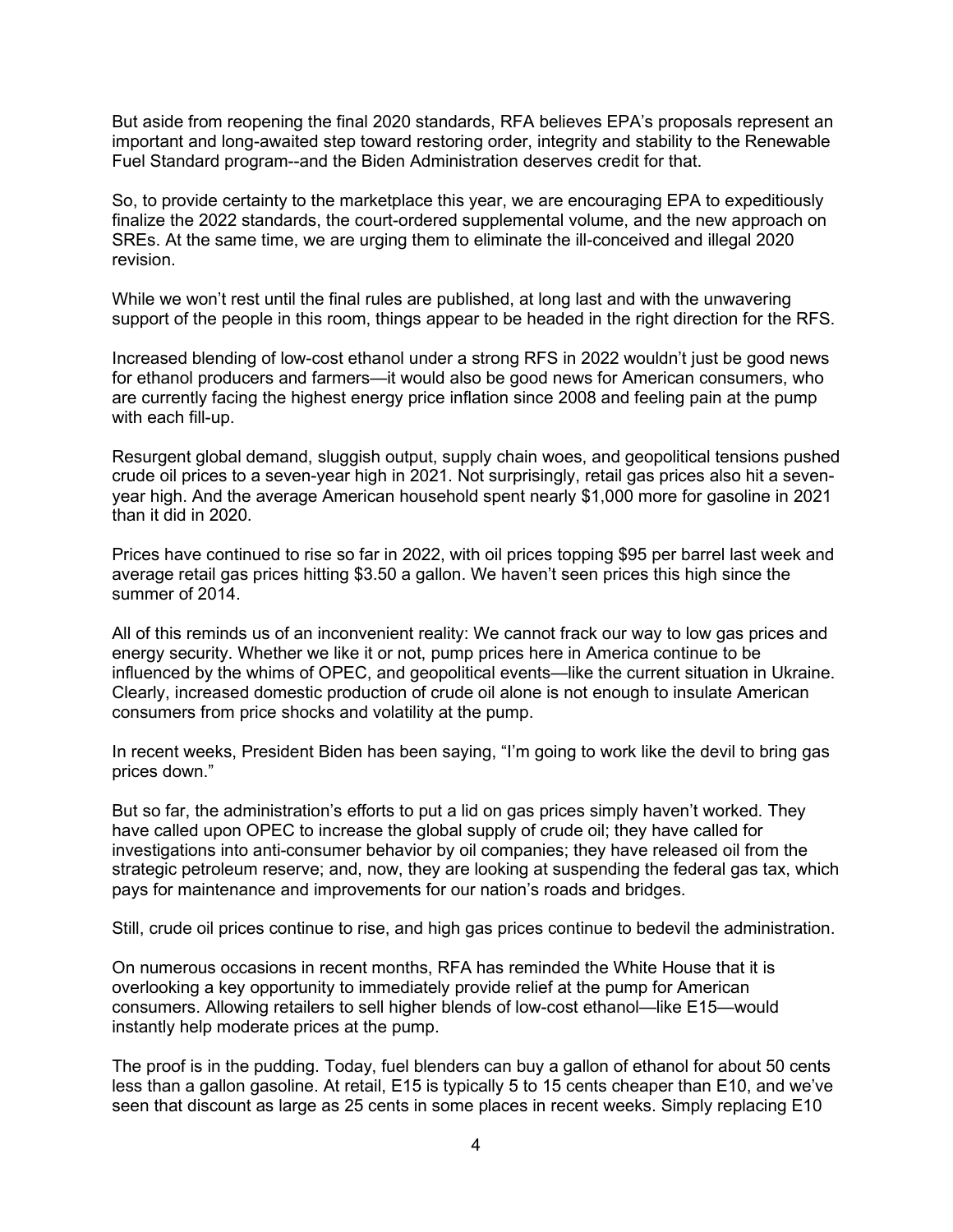But aside from reopening the final 2020 standards, RFA believes EPA's proposals represent an important and long-awaited step toward restoring order, integrity and stability to the Renewable Fuel Standard program--and the Biden Administration deserves credit for that.

So, to provide certainty to the marketplace this year, we are encouraging EPA to expeditiously finalize the 2022 standards, the court-ordered supplemental volume, and the new approach on SREs. At the same time, we are urging them to eliminate the ill-conceived and illegal 2020 revision.

While we won't rest until the final rules are published, at long last and with the unwavering support of the people in this room, things appear to be headed in the right direction for the RFS.

Increased blending of low-cost ethanol under a strong RFS in 2022 wouldn't just be good news for ethanol producers and farmers—it would also be good news for American consumers, who are currently facing the highest energy price inflation since 2008 and feeling pain at the pump with each fill-up.

Resurgent global demand, sluggish output, supply chain woes, and geopolitical tensions pushed crude oil prices to a seven-year high in 2021. Not surprisingly, retail gas prices also hit a sevenyear high. And the average American household spent nearly \$1,000 more for gasoline in 2021 than it did in 2020.

Prices have continued to rise so far in 2022, with oil prices topping \$95 per barrel last week and average retail gas prices hitting \$3.50 a gallon. We haven't seen prices this high since the summer of 2014.

All of this reminds us of an inconvenient reality: We cannot frack our way to low gas prices and energy security. Whether we like it or not, pump prices here in America continue to be influenced by the whims of OPEC, and geopolitical events—like the current situation in Ukraine. Clearly, increased domestic production of crude oil alone is not enough to insulate American consumers from price shocks and volatility at the pump.

In recent weeks, President Biden has been saying, "I'm going to work like the devil to bring gas prices down."

But so far, the administration's efforts to put a lid on gas prices simply haven't worked. They have called upon OPEC to increase the global supply of crude oil; they have called for investigations into anti-consumer behavior by oil companies; they have released oil from the strategic petroleum reserve; and, now, they are looking at suspending the federal gas tax, which pays for maintenance and improvements for our nation's roads and bridges.

Still, crude oil prices continue to rise, and high gas prices continue to bedevil the administration.

On numerous occasions in recent months, RFA has reminded the White House that it is overlooking a key opportunity to immediately provide relief at the pump for American consumers. Allowing retailers to sell higher blends of low-cost ethanol—like E15—would instantly help moderate prices at the pump.

The proof is in the pudding. Today, fuel blenders can buy a gallon of ethanol for about 50 cents less than a gallon gasoline. At retail, E15 is typically 5 to 15 cents cheaper than E10, and we've seen that discount as large as 25 cents in some places in recent weeks. Simply replacing E10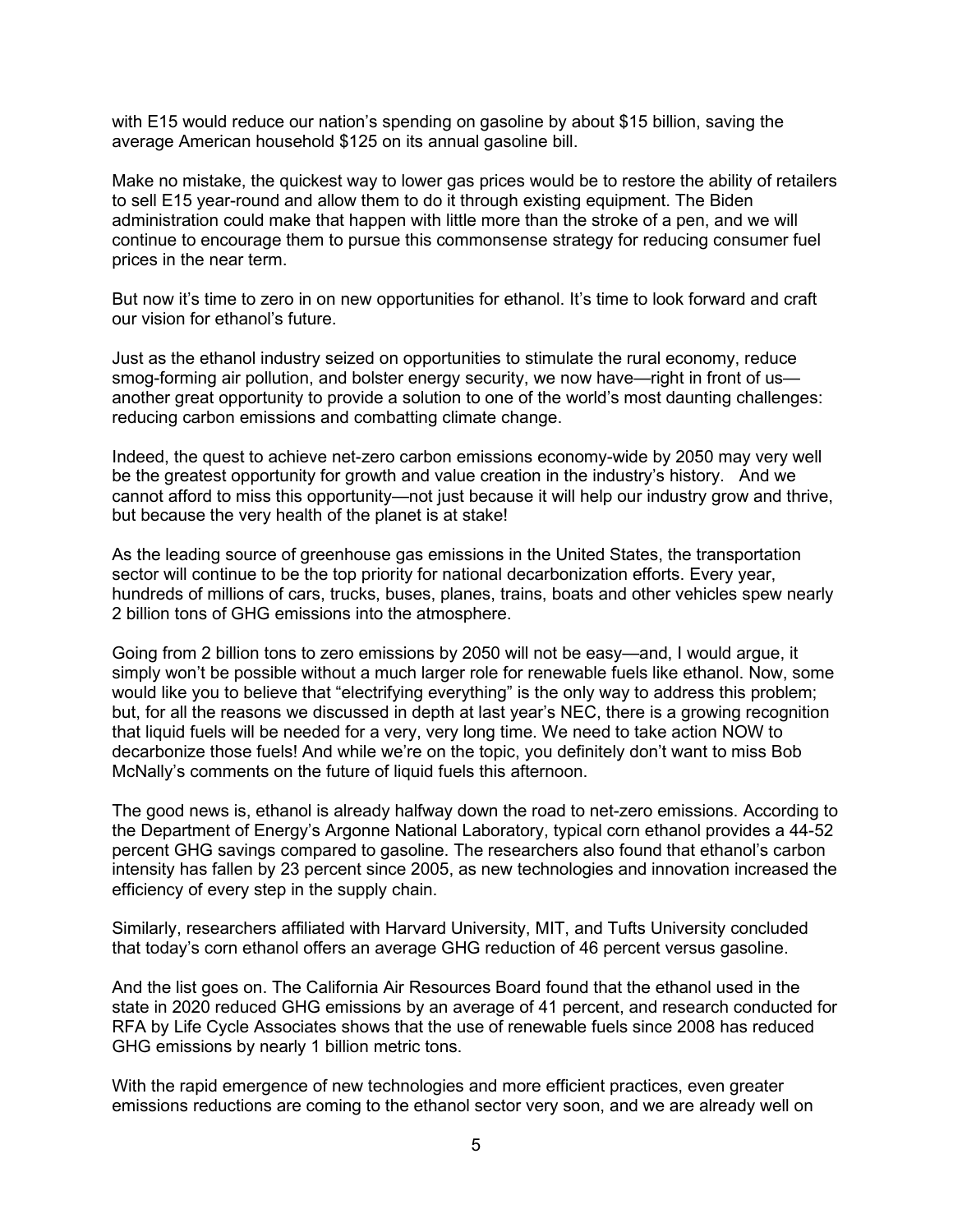with E15 would reduce our nation's spending on gasoline by about \$15 billion, saving the average American household \$125 on its annual gasoline bill.

Make no mistake, the quickest way to lower gas prices would be to restore the ability of retailers to sell E15 year-round and allow them to do it through existing equipment. The Biden administration could make that happen with little more than the stroke of a pen, and we will continue to encourage them to pursue this commonsense strategy for reducing consumer fuel prices in the near term.

But now it's time to zero in on new opportunities for ethanol. It's time to look forward and craft our vision for ethanol's future.

Just as the ethanol industry seized on opportunities to stimulate the rural economy, reduce smog-forming air pollution, and bolster energy security, we now have—right in front of us another great opportunity to provide a solution to one of the world's most daunting challenges: reducing carbon emissions and combatting climate change.

Indeed, the quest to achieve net-zero carbon emissions economy-wide by 2050 may very well be the greatest opportunity for growth and value creation in the industry's history. And we cannot afford to miss this opportunity—not just because it will help our industry grow and thrive, but because the very health of the planet is at stake!

As the leading source of greenhouse gas emissions in the United States, the transportation sector will continue to be the top priority for national decarbonization efforts. Every year, hundreds of millions of cars, trucks, buses, planes, trains, boats and other vehicles spew nearly 2 billion tons of GHG emissions into the atmosphere.

Going from 2 billion tons to zero emissions by 2050 will not be easy—and, I would argue, it simply won't be possible without a much larger role for renewable fuels like ethanol. Now, some would like you to believe that "electrifying everything" is the only way to address this problem; but, for all the reasons we discussed in depth at last year's NEC, there is a growing recognition that liquid fuels will be needed for a very, very long time. We need to take action NOW to decarbonize those fuels! And while we're on the topic, you definitely don't want to miss Bob McNally's comments on the future of liquid fuels this afternoon.

The good news is, ethanol is already halfway down the road to net-zero emissions. According to the Department of Energy's Argonne National Laboratory, typical corn ethanol provides a 44-52 percent GHG savings compared to gasoline. The researchers also found that ethanol's carbon intensity has fallen by 23 percent since 2005, as new technologies and innovation increased the efficiency of every step in the supply chain.

Similarly, researchers affiliated with Harvard University, MIT, and Tufts University concluded that today's corn ethanol offers an average GHG reduction of 46 percent versus gasoline.

And the list goes on. The California Air Resources Board found that the ethanol used in the state in 2020 reduced GHG emissions by an average of 41 percent, and research conducted for RFA by Life Cycle Associates shows that the use of renewable fuels since 2008 has reduced GHG emissions by nearly 1 billion metric tons.

With the rapid emergence of new technologies and more efficient practices, even greater emissions reductions are coming to the ethanol sector very soon, and we are already well on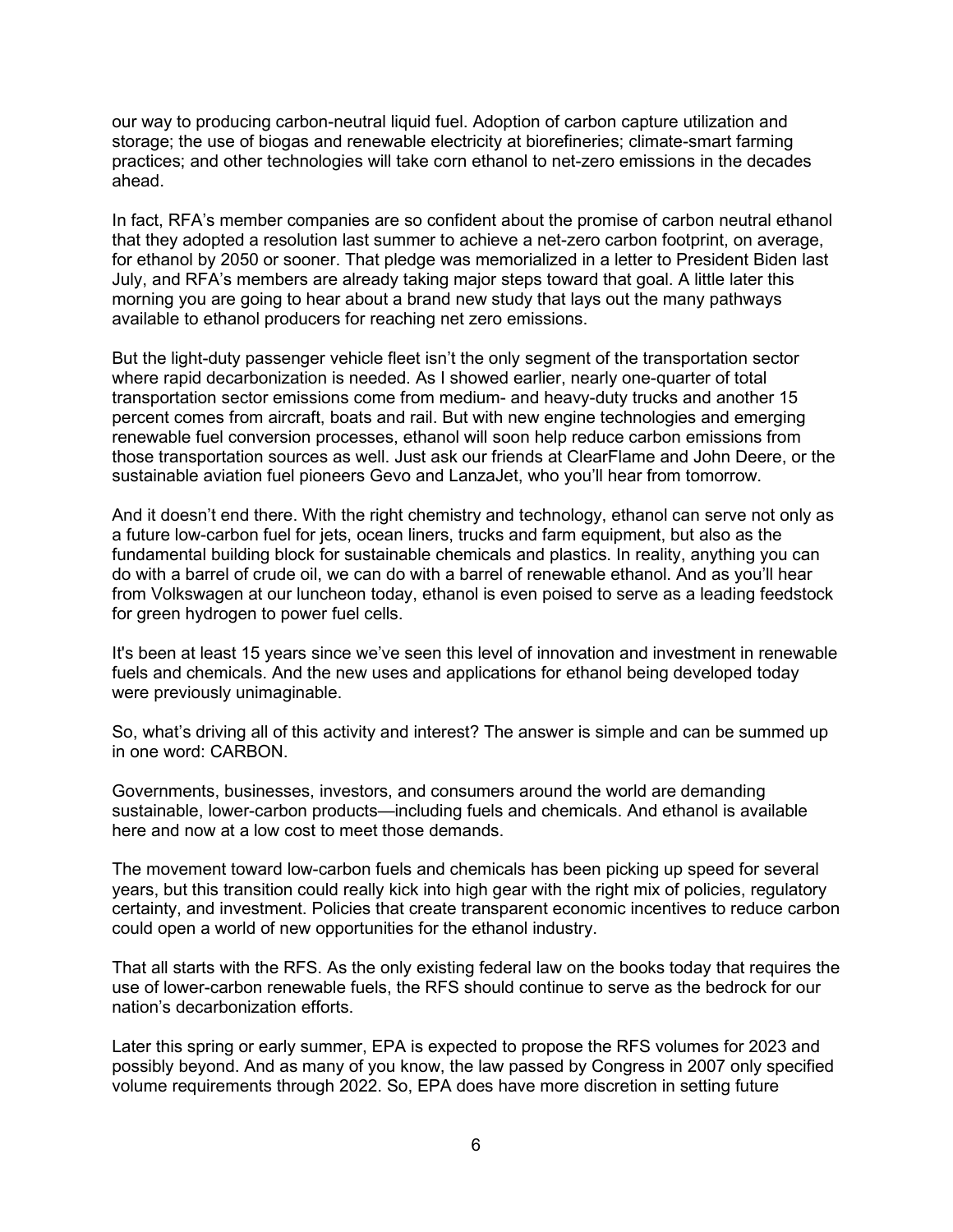our way to producing carbon-neutral liquid fuel. Adoption of carbon capture utilization and storage; the use of biogas and renewable electricity at biorefineries; climate-smart farming practices; and other technologies will take corn ethanol to net-zero emissions in the decades ahead.

In fact, RFA's member companies are so confident about the promise of carbon neutral ethanol that they adopted a resolution last summer to achieve a net-zero carbon footprint, on average, for ethanol by 2050 or sooner. That pledge was memorialized in a letter to President Biden last July, and RFA's members are already taking major steps toward that goal. A little later this morning you are going to hear about a brand new study that lays out the many pathways available to ethanol producers for reaching net zero emissions.

But the light-duty passenger vehicle fleet isn't the only segment of the transportation sector where rapid decarbonization is needed. As I showed earlier, nearly one-quarter of total transportation sector emissions come from medium- and heavy-duty trucks and another 15 percent comes from aircraft, boats and rail. But with new engine technologies and emerging renewable fuel conversion processes, ethanol will soon help reduce carbon emissions from those transportation sources as well. Just ask our friends at ClearFlame and John Deere, or the sustainable aviation fuel pioneers Gevo and LanzaJet, who you'll hear from tomorrow.

And it doesn't end there. With the right chemistry and technology, ethanol can serve not only as a future low-carbon fuel for jets, ocean liners, trucks and farm equipment, but also as the fundamental building block for sustainable chemicals and plastics. In reality, anything you can do with a barrel of crude oil, we can do with a barrel of renewable ethanol. And as you'll hear from Volkswagen at our luncheon today, ethanol is even poised to serve as a leading feedstock for green hydrogen to power fuel cells.

It's been at least 15 years since we've seen this level of innovation and investment in renewable fuels and chemicals. And the new uses and applications for ethanol being developed today were previously unimaginable.

So, what's driving all of this activity and interest? The answer is simple and can be summed up in one word: CARBON.

Governments, businesses, investors, and consumers around the world are demanding sustainable, lower-carbon products—including fuels and chemicals. And ethanol is available here and now at a low cost to meet those demands.

The movement toward low-carbon fuels and chemicals has been picking up speed for several years, but this transition could really kick into high gear with the right mix of policies, regulatory certainty, and investment. Policies that create transparent economic incentives to reduce carbon could open a world of new opportunities for the ethanol industry.

That all starts with the RFS. As the only existing federal law on the books today that requires the use of lower-carbon renewable fuels, the RFS should continue to serve as the bedrock for our nation's decarbonization efforts.

Later this spring or early summer, EPA is expected to propose the RFS volumes for 2023 and possibly beyond. And as many of you know, the law passed by Congress in 2007 only specified volume requirements through 2022. So, EPA does have more discretion in setting future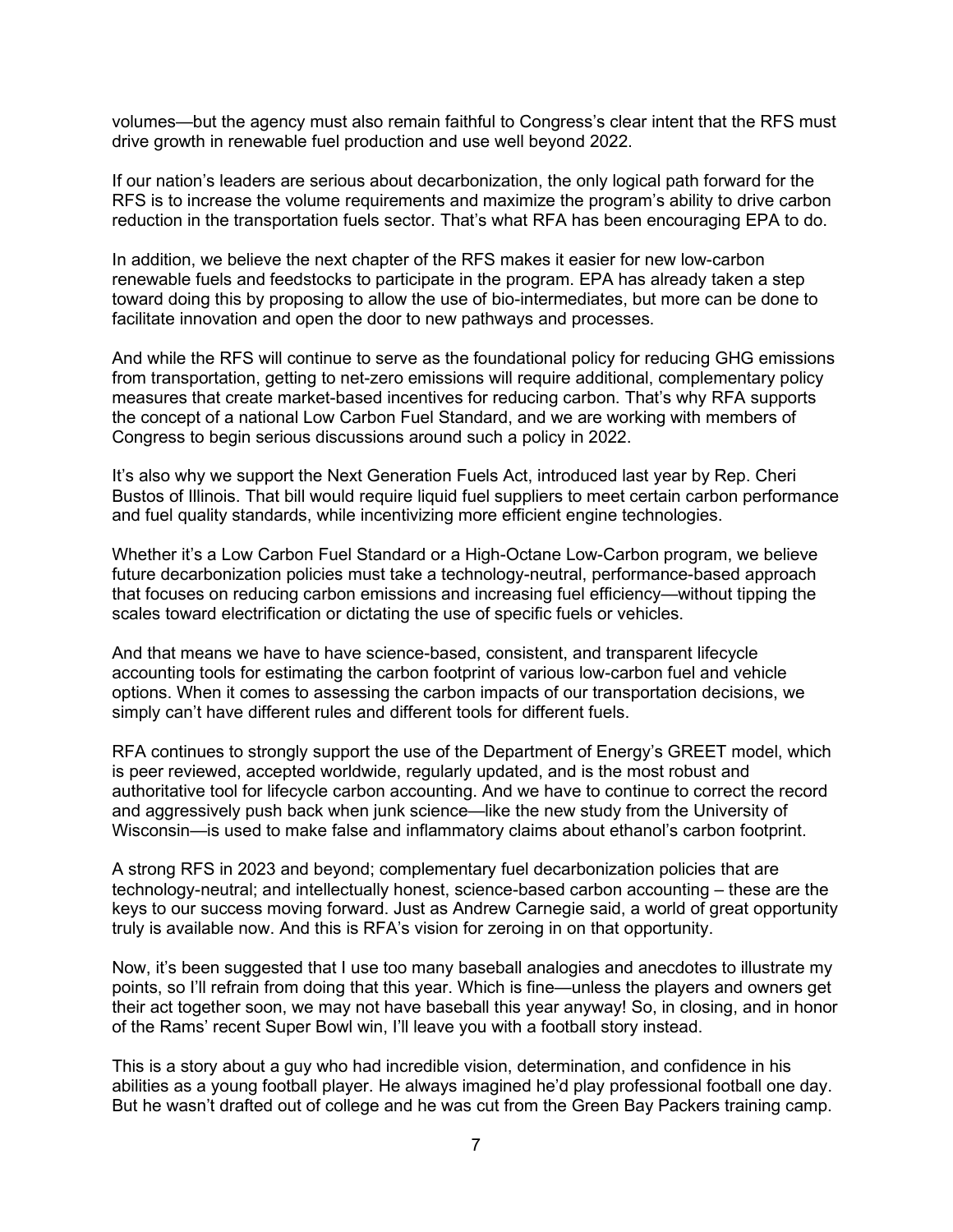volumes—but the agency must also remain faithful to Congress's clear intent that the RFS must drive growth in renewable fuel production and use well beyond 2022.

If our nation's leaders are serious about decarbonization, the only logical path forward for the RFS is to increase the volume requirements and maximize the program's ability to drive carbon reduction in the transportation fuels sector. That's what RFA has been encouraging EPA to do.

In addition, we believe the next chapter of the RFS makes it easier for new low-carbon renewable fuels and feedstocks to participate in the program. EPA has already taken a step toward doing this by proposing to allow the use of bio-intermediates, but more can be done to facilitate innovation and open the door to new pathways and processes.

And while the RFS will continue to serve as the foundational policy for reducing GHG emissions from transportation, getting to net-zero emissions will require additional, complementary policy measures that create market-based incentives for reducing carbon. That's why RFA supports the concept of a national Low Carbon Fuel Standard, and we are working with members of Congress to begin serious discussions around such a policy in 2022.

It's also why we support the Next Generation Fuels Act, introduced last year by Rep. Cheri Bustos of Illinois. That bill would require liquid fuel suppliers to meet certain carbon performance and fuel quality standards, while incentivizing more efficient engine technologies.

Whether it's a Low Carbon Fuel Standard or a High-Octane Low-Carbon program, we believe future decarbonization policies must take a technology-neutral, performance-based approach that focuses on reducing carbon emissions and increasing fuel efficiency—without tipping the scales toward electrification or dictating the use of specific fuels or vehicles.

And that means we have to have science-based, consistent, and transparent lifecycle accounting tools for estimating the carbon footprint of various low-carbon fuel and vehicle options. When it comes to assessing the carbon impacts of our transportation decisions, we simply can't have different rules and different tools for different fuels.

RFA continues to strongly support the use of the Department of Energy's GREET model, which is peer reviewed, accepted worldwide, regularly updated, and is the most robust and authoritative tool for lifecycle carbon accounting. And we have to continue to correct the record and aggressively push back when junk science—like the new study from the University of Wisconsin—is used to make false and inflammatory claims about ethanol's carbon footprint.

A strong RFS in 2023 and beyond; complementary fuel decarbonization policies that are technology-neutral; and intellectually honest, science-based carbon accounting – these are the keys to our success moving forward. Just as Andrew Carnegie said, a world of great opportunity truly is available now. And this is RFA's vision for zeroing in on that opportunity.

Now, it's been suggested that I use too many baseball analogies and anecdotes to illustrate my points, so I'll refrain from doing that this year. Which is fine—unless the players and owners get their act together soon, we may not have baseball this year anyway! So, in closing, and in honor of the Rams' recent Super Bowl win, I'll leave you with a football story instead.

This is a story about a guy who had incredible vision, determination, and confidence in his abilities as a young football player. He always imagined he'd play professional football one day. But he wasn't drafted out of college and he was cut from the Green Bay Packers training camp.